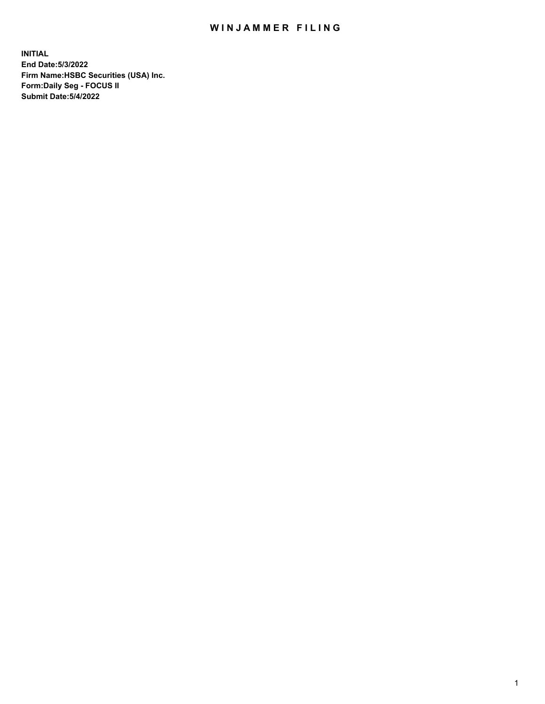## WIN JAMMER FILING

**INITIAL End Date:5/3/2022 Firm Name:HSBC Securities (USA) Inc. Form:Daily Seg - FOCUS II Submit Date:5/4/2022**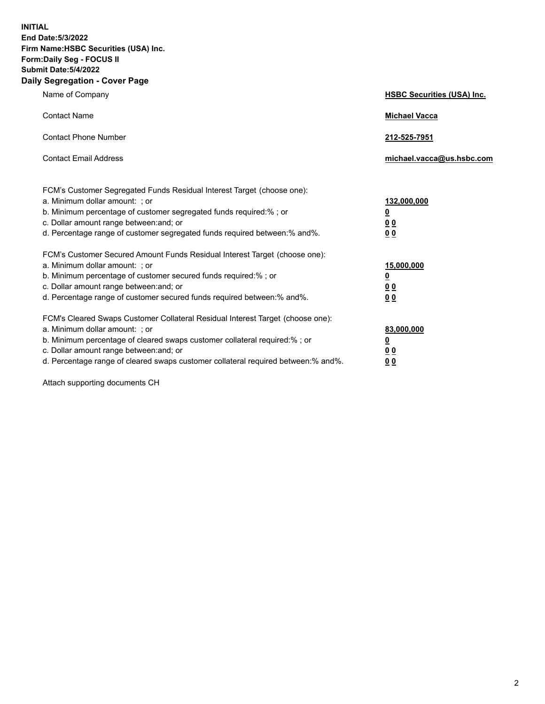**INITIAL End Date:5/3/2022 Firm Name:HSBC Securities (USA) Inc. Form:Daily Seg - FOCUS II Submit Date:5/4/2022 Daily Segregation - Cover Page**

| Name of Company                                                                                                                                                                                                                                                                                                                | <b>HSBC Securities (USA) Inc.</b>               |
|--------------------------------------------------------------------------------------------------------------------------------------------------------------------------------------------------------------------------------------------------------------------------------------------------------------------------------|-------------------------------------------------|
| <b>Contact Name</b>                                                                                                                                                                                                                                                                                                            | <b>Michael Vacca</b>                            |
| <b>Contact Phone Number</b>                                                                                                                                                                                                                                                                                                    | 212-525-7951                                    |
| <b>Contact Email Address</b>                                                                                                                                                                                                                                                                                                   | michael.vacca@us.hsbc.com                       |
| FCM's Customer Segregated Funds Residual Interest Target (choose one):<br>a. Minimum dollar amount: : or<br>b. Minimum percentage of customer segregated funds required:% ; or<br>c. Dollar amount range between: and; or<br>d. Percentage range of customer segregated funds required between:% and%.                         | 132,000,000<br><u>0</u><br>00<br>0 <sub>0</sub> |
| FCM's Customer Secured Amount Funds Residual Interest Target (choose one):<br>a. Minimum dollar amount: ; or<br>b. Minimum percentage of customer secured funds required:%; or<br>c. Dollar amount range between: and; or<br>d. Percentage range of customer secured funds required between:% and%.                            | 15,000,000<br><u>0</u><br>0 <sub>0</sub><br>00  |
| FCM's Cleared Swaps Customer Collateral Residual Interest Target (choose one):<br>a. Minimum dollar amount: ; or<br>b. Minimum percentage of cleared swaps customer collateral required:% ; or<br>c. Dollar amount range between: and; or<br>d. Percentage range of cleared swaps customer collateral required between:% and%. | 83,000,000<br><u>0</u><br><u>00</u><br>00       |

Attach supporting documents CH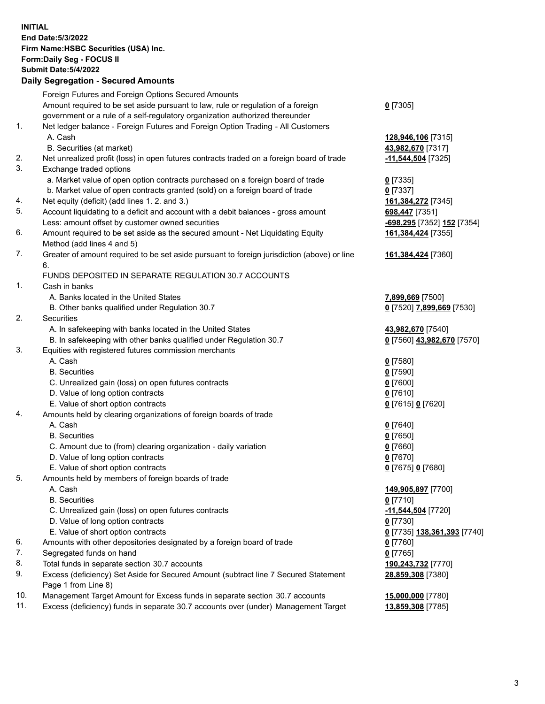**INITIAL End Date:5/3/2022 Firm Name:HSBC Securities (USA) Inc. Form:Daily Seg - FOCUS II Submit Date:5/4/2022 Daily Segregation - Secured Amounts** Foreign Futures and Foreign Options Secured Amounts Amount required to be set aside pursuant to law, rule or regulation of a foreign government or a rule of a self-regulatory organization authorized thereunder **0** [7305] 1. Net ledger balance - Foreign Futures and Foreign Option Trading - All Customers A. Cash **128,946,106** [7315] B. Securities (at market) **43,982,670** [7317] 2. Net unrealized profit (loss) in open futures contracts traded on a foreign board of trade **-11,544,504** [7325] 3. Exchange traded options a. Market value of open option contracts purchased on a foreign board of trade **0** [7335] b. Market value of open contracts granted (sold) on a foreign board of trade **0** [7337] 4. Net equity (deficit) (add lines 1. 2. and 3.) **161,384,272** [7345] 5. Account liquidating to a deficit and account with a debit balances - gross amount **698,447** [7351] Less: amount offset by customer owned securities **-698,295** [7352] **152** [7354] 6. Amount required to be set aside as the secured amount - Net Liquidating Equity Method (add lines 4 and 5) **161,384,424** [7355] 7. Greater of amount required to be set aside pursuant to foreign jurisdiction (above) or line 6. **161,384,424** [7360] FUNDS DEPOSITED IN SEPARATE REGULATION 30.7 ACCOUNTS 1. Cash in banks A. Banks located in the United States **7,899,669** [7500] B. Other banks qualified under Regulation 30.7 **0** [7520] **7,899,669** [7530] 2. Securities A. In safekeeping with banks located in the United States **43,982,670** [7540] B. In safekeeping with other banks qualified under Regulation 30.7 **0** [7560] **43,982,670** [7570] 3. Equities with registered futures commission merchants A. Cash **0** [7580] B. Securities **0** [7590] C. Unrealized gain (loss) on open futures contracts **0** [7600] D. Value of long option contracts **0** [7610] E. Value of short option contracts **0** [7615] **0** [7620] 4. Amounts held by clearing organizations of foreign boards of trade A. Cash **0** [7640] B. Securities **0** [7650] C. Amount due to (from) clearing organization - daily variation **0** [7660] D. Value of long option contracts **0** [7670] E. Value of short option contracts **0** [7675] **0** [7680] 5. Amounts held by members of foreign boards of trade A. Cash **149,905,897** [7700] B. Securities **0** [7710] C. Unrealized gain (loss) on open futures contracts **-11,544,504** [7720] D. Value of long option contracts **0** [7730] E. Value of short option contracts **0** [7735] **138,361,393** [7740] 6. Amounts with other depositories designated by a foreign board of trade **0** [7760] 7. Segregated funds on hand **0** [7765] 8. Total funds in separate section 30.7 accounts **190,243,732** [7770] 9. Excess (deficiency) Set Aside for Secured Amount (subtract line 7 Secured Statement Page 1 from Line 8) **28,859,308** [7380] 10. Management Target Amount for Excess funds in separate section 30.7 accounts **15,000,000** [7780] 11. Excess (deficiency) funds in separate 30.7 accounts over (under) Management Target **13,859,308** [7785]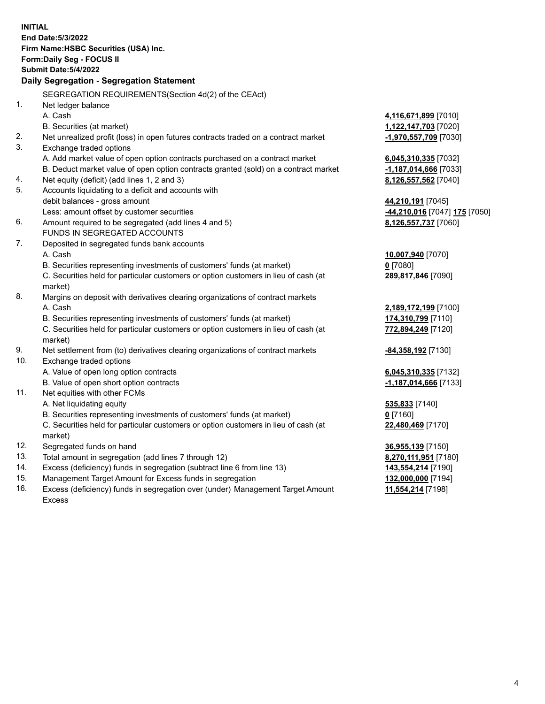| <b>INITIAL</b> |                                                                                            |                               |
|----------------|--------------------------------------------------------------------------------------------|-------------------------------|
|                | <b>End Date: 5/3/2022</b>                                                                  |                               |
|                | Firm Name: HSBC Securities (USA) Inc.                                                      |                               |
|                | Form: Daily Seg - FOCUS II                                                                 |                               |
|                | <b>Submit Date: 5/4/2022</b>                                                               |                               |
|                | Daily Segregation - Segregation Statement                                                  |                               |
|                |                                                                                            |                               |
|                | SEGREGATION REQUIREMENTS(Section 4d(2) of the CEAct)                                       |                               |
| 1.             | Net ledger balance                                                                         |                               |
|                | A. Cash                                                                                    | 4,116,671,899 [7010]          |
|                | B. Securities (at market)                                                                  | 1,122,147,703 [7020]          |
| 2.             | Net unrealized profit (loss) in open futures contracts traded on a contract market         | -1,970,557,709 [7030]         |
| 3.             | Exchange traded options                                                                    |                               |
|                | A. Add market value of open option contracts purchased on a contract market                | 6,045,310,335 [7032]          |
|                | B. Deduct market value of open option contracts granted (sold) on a contract market        | -1,187,014,666 [7033]         |
| 4.             | Net equity (deficit) (add lines 1, 2 and 3)                                                | 8,126,557,562 [7040]          |
| 5.             | Accounts liquidating to a deficit and accounts with                                        |                               |
|                | debit balances - gross amount                                                              | 44,210,191 [7045]             |
|                | Less: amount offset by customer securities                                                 | -44,210,016 [7047] 175 [7050] |
| 6.             | Amount required to be segregated (add lines 4 and 5)                                       | 8,126,557,737 [7060]          |
|                | FUNDS IN SEGREGATED ACCOUNTS                                                               |                               |
| 7.             | Deposited in segregated funds bank accounts                                                |                               |
|                | A. Cash                                                                                    | 10,007,940 [7070]             |
|                | B. Securities representing investments of customers' funds (at market)                     | $0$ [7080]                    |
|                | C. Securities held for particular customers or option customers in lieu of cash (at        | 289,817,846 [7090]            |
|                | market)                                                                                    |                               |
| 8.             | Margins on deposit with derivatives clearing organizations of contract markets             |                               |
|                | A. Cash                                                                                    | 2,189,172,199 [7100]          |
|                | B. Securities representing investments of customers' funds (at market)                     | 174,310,799 [7110]            |
|                | C. Securities held for particular customers or option customers in lieu of cash (at        | 772,894,249 [7120]            |
| 9.             | market)<br>Net settlement from (to) derivatives clearing organizations of contract markets | -84,358,192 [7130]            |
| 10.            | Exchange traded options                                                                    |                               |
|                | A. Value of open long option contracts                                                     | 6,045,310,335 [7132]          |
|                | B. Value of open short option contracts                                                    | -1,187,014,666 [7133]         |
| 11.            | Net equities with other FCMs                                                               |                               |
|                | A. Net liquidating equity                                                                  | 535,833 [7140]                |
|                | B. Securities representing investments of customers' funds (at market)                     | $0$ [7160]                    |
|                | C. Securities held for particular customers or option customers in lieu of cash (at        | 22,480,469 [7170]             |
|                | market)                                                                                    |                               |
| 12.            | Segregated funds on hand                                                                   | 36,955,139 [7150]             |
| 13.            | Total amount in segregation (add lines 7 through 12)                                       | 8,270,111,951 [7180]          |
| 14.            | Excess (deficiency) funds in segregation (subtract line 6 from line 13)                    | 143,554,214 [7190]            |
| 15.            | Management Target Amount for Excess funds in segregation                                   | 132,000,000 [7194]            |
| 16.            | Excess (deficiency) funds in segregation over (under) Management Target Amount             | 11,554,214 [7198]             |
|                |                                                                                            |                               |

Excess